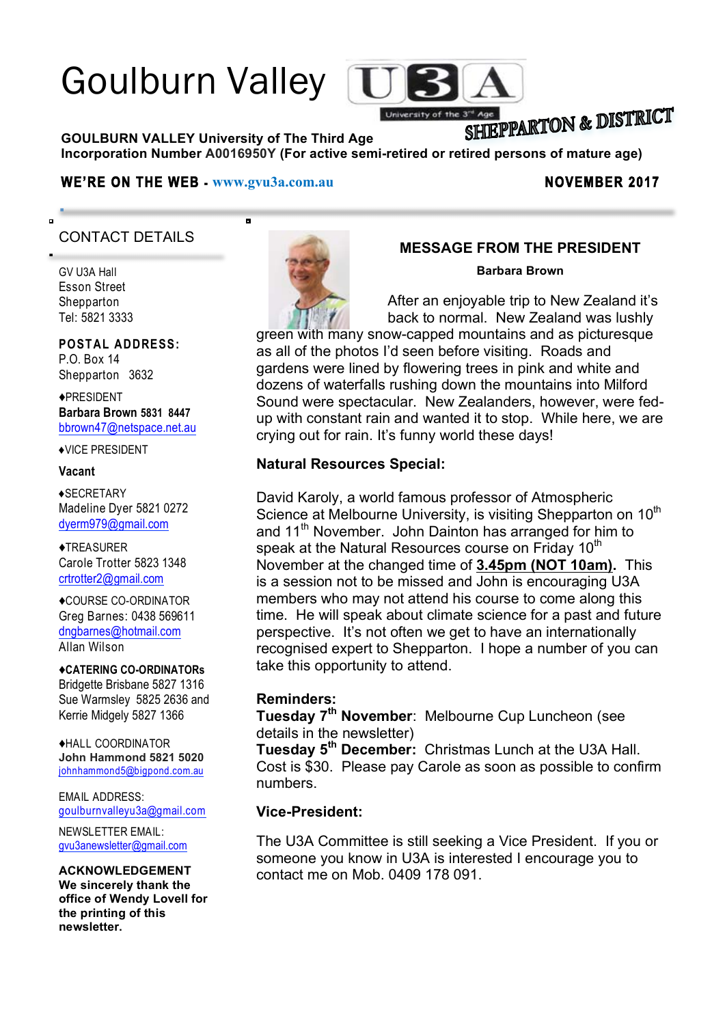# Goulburn Valley



# SHIEPPARTON & DISTRICT

**GOULBURN VALLEY University of The Third Age Incorporation Number A0016950Y (For active semi-retired or retired persons of mature age)**

#### WE'RE ON THE WEB -  $www.gvu3a.com.au$  NOVEMBER 2017

ь

# CONTACT DETAILS

GV U3A Hall Esson Street Shepparton Tel: 5821 3333

ō

#### **POSTAL ADDRESS:**

P.O. Box 14 Shepparton 3632

♦PRESIDENT **Barbara Brown 5831 8447** bbrown47@netspace.net.au

♦VICE PRESIDENT

#### **Vacant**

♦SECRETARY Madeline Dyer 5821 0272 dyerm979@gmail.com

♦TREASURER Carole Trotter 5823 1348 crtrotter2@gmail.com

♦COURSE CO-ORDINATOR Greg Barnes: 0438 569611 dngbarnes@hotmail.com Allan Wilson

♦**CATERING CO-ORDINATORs** Bridgette Brisbane 5827 1316 Sue Warmsley 5825 2636 and Kerrie Midgely 5827 1366

♦HALL COORDINATOR **John Hammond 5821 5020** johnhammond5@bigpond.com.au

EMAIL ADDRESS: goulburnvalleyu3a@gmail.com

NEWSLETTER EMAIL: gvu3anewsletter@gmail.com

**ACKNOWLEDGEMENT We sincerely thank the office of Wendy Lovell for the printing of this newsletter.**



### **MESSAGE FROM THE PRESIDENT**

**Barbara Brown**

After an enjoyable trip to New Zealand it's back to normal. New Zealand was lushly

green with many snow-capped mountains and as picturesque as all of the photos I'd seen before visiting. Roads and gardens were lined by flowering trees in pink and white and dozens of waterfalls rushing down the mountains into Milford Sound were spectacular. New Zealanders, however, were fedup with constant rain and wanted it to stop. While here, we are crying out for rain. It's funny world these days!

#### **Natural Resources Special:**

David Karoly, a world famous professor of Atmospheric Science at Melbourne University, is visiting Shepparton on 10<sup>th</sup> and 11<sup>th</sup> November. John Dainton has arranged for him to speak at the Natural Resources course on Friday 10<sup>th</sup> November at the changed time of **3.45pm (NOT 10am).** This is a session not to be missed and John is encouraging U3A members who may not attend his course to come along this time. He will speak about climate science for a past and future perspective. It's not often we get to have an internationally recognised expert to Shepparton. I hope a number of you can take this opportunity to attend.

#### **Reminders:**

**Tuesday 7th November**: Melbourne Cup Luncheon (see details in the newsletter)

**Tuesday 5th December:** Christmas Lunch at the U3A Hall. Cost is \$30. Please pay Carole as soon as possible to confirm numbers.

#### **Vice-President:**

The U3A Committee is still seeking a Vice President. If you or someone you know in U3A is interested I encourage you to contact me on Mob. 0409 178 091.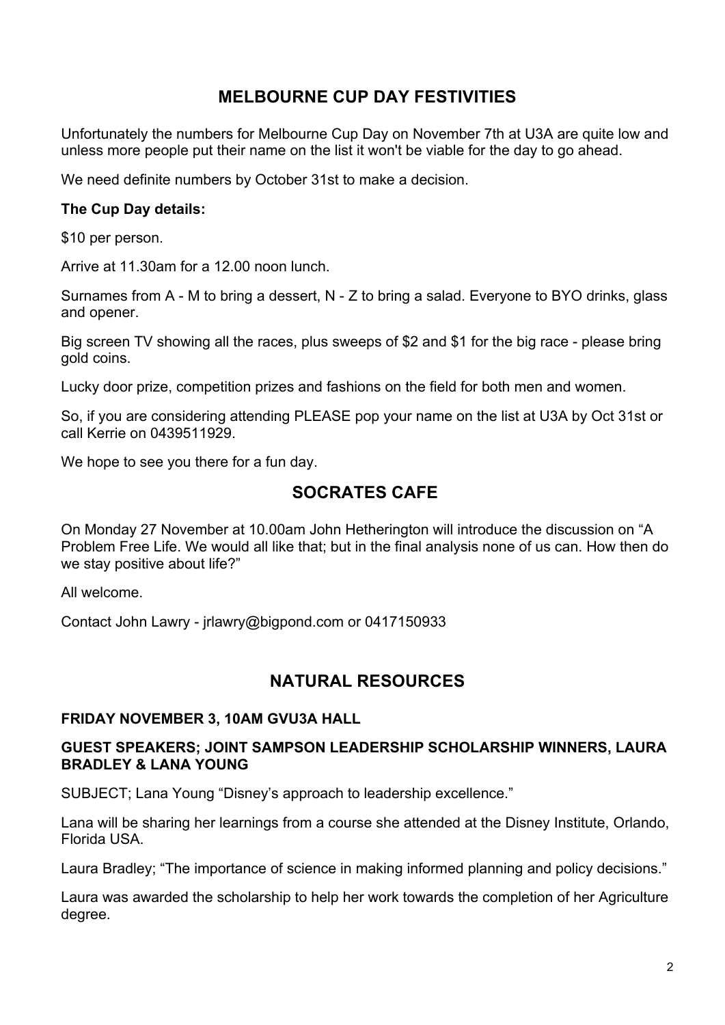# **MELBOURNE CUP DAY FESTIVITIES**

Unfortunately the numbers for Melbourne Cup Day on November 7th at U3A are quite low and unless more people put their name on the list it won't be viable for the day to go ahead.

We need definite numbers by October 31st to make a decision.

#### **The Cup Day details:**

\$10 per person.

Arrive at 11.30am for a 12.00 noon lunch.

Surnames from A - M to bring a dessert, N - Z to bring a salad. Everyone to BYO drinks, glass and opener.

Big screen TV showing all the races, plus sweeps of \$2 and \$1 for the big race - please bring gold coins.

Lucky door prize, competition prizes and fashions on the field for both men and women.

So, if you are considering attending PLEASE pop your name on the list at U3A by Oct 31st or call Kerrie on 0439511929.

We hope to see you there for a fun day.

# **SOCRATES CAFE**

On Monday 27 November at 10.00am John Hetherington will introduce the discussion on "A Problem Free Life. We would all like that; but in the final analysis none of us can. How then do we stay positive about life?"

All welcome.

Contact John Lawry - jrlawry@bigpond.com or 0417150933

# **NATURAL RESOURCES**

#### **FRIDAY NOVEMBER 3, 10AM GVU3A HALL**

#### **GUEST SPEAKERS; JOINT SAMPSON LEADERSHIP SCHOLARSHIP WINNERS, LAURA BRADLEY & LANA YOUNG**

SUBJECT; Lana Young "Disney's approach to leadership excellence."

Lana will be sharing her learnings from a course she attended at the Disney Institute, Orlando, Florida USA.

Laura Bradley; "The importance of science in making informed planning and policy decisions."

Laura was awarded the scholarship to help her work towards the completion of her Agriculture degree.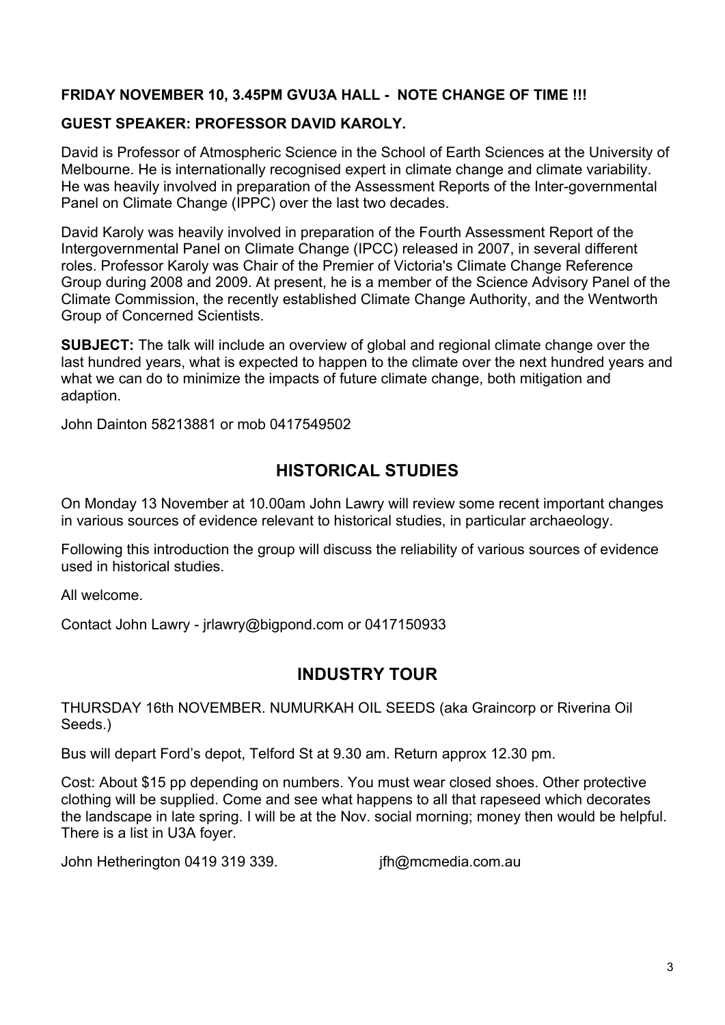#### **FRIDAY NOVEMBER 10, 3.45PM GVU3A HALL - NOTE CHANGE OF TIME !!!**

#### **GUEST SPEAKER: PROFESSOR DAVID KAROLY.**

David is Professor of Atmospheric Science in the School of Earth Sciences at the University of Melbourne. He is internationally recognised expert in climate change and climate variability. He was heavily involved in preparation of the Assessment Reports of the Inter-governmental Panel on Climate Change (IPPC) over the last two decades.

David Karoly was heavily involved in preparation of the Fourth Assessment Report of the Intergovernmental Panel on Climate Change (IPCC) released in 2007, in several different roles. Professor Karoly was Chair of the Premier of Victoria's Climate Change Reference Group during 2008 and 2009. At present, he is a member of the Science Advisory Panel of the Climate Commission, the recently established Climate Change Authority, and the Wentworth Group of Concerned Scientists.

**SUBJECT:** The talk will include an overview of global and regional climate change over the last hundred years, what is expected to happen to the climate over the next hundred years and what we can do to minimize the impacts of future climate change, both mitigation and adaption.

John Dainton 58213881 or mob 0417549502

# **HISTORICAL STUDIES**

On Monday 13 November at 10.00am John Lawry will review some recent important changes in various sources of evidence relevant to historical studies, in particular archaeology.

Following this introduction the group will discuss the reliability of various sources of evidence used in historical studies.

All welcome.

Contact John Lawry - jrlawry@bigpond.com or 0417150933

### **INDUSTRY TOUR**

THURSDAY 16th NOVEMBER. NUMURKAH OIL SEEDS (aka Graincorp or Riverina Oil Seeds.)

Bus will depart Ford's depot, Telford St at 9.30 am. Return approx 12.30 pm.

Cost: About \$15 pp depending on numbers. You must wear closed shoes. Other protective clothing will be supplied. Come and see what happens to all that rapeseed which decorates the landscape in late spring. I will be at the Nov. social morning; money then would be helpful. There is a list in U3A foyer.

John Hetherington 0419 319 339. jfh@mcmedia.com.au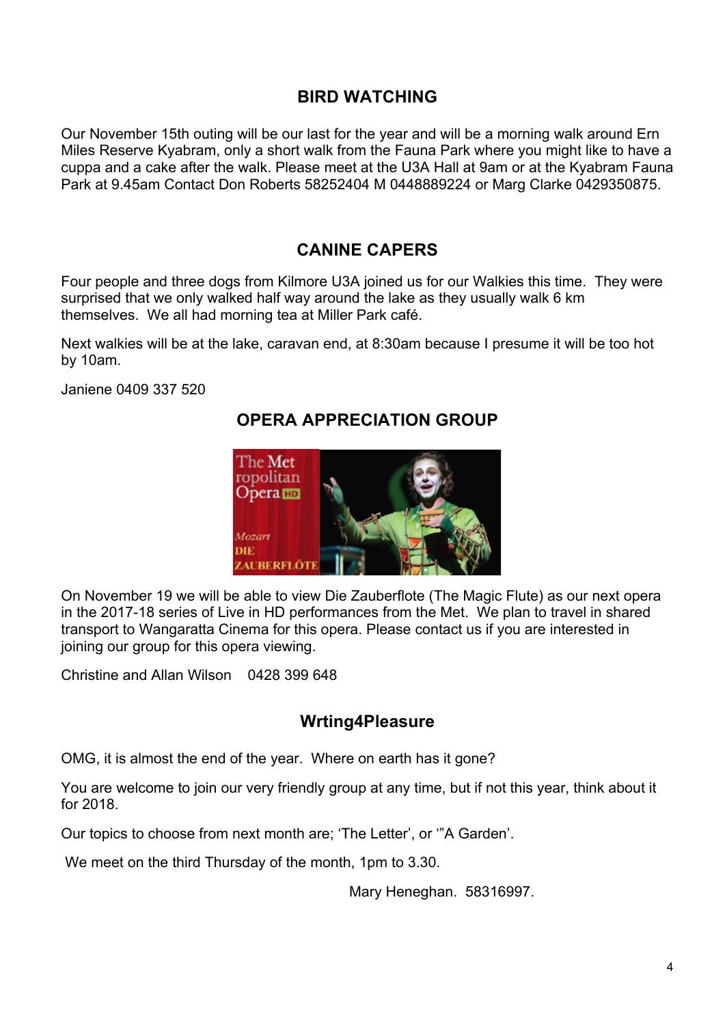# **BIRD WATCHING**

Our November 15th outing will be our last for the year and will be a morning walk around Ern Miles Reserve Kyabram, only a short walk from the Fauna Park where you might like to have a cuppa and a cake after the walk. Please meet at the U3A Hall at 9am or at the Kyabram Fauna Park at 9.45am Contact Don Roberts 58252404 M 0448889224 or Marg Clarke 0429350875.

# **CANINE CAPERS**

Four people and three dogs from Kilmore U3A joined us for our Walkies this time. They were surprised that we only walked half way around the lake as they usually walk 6 km themselves. We all had morning tea at Miller Park café.

Next walkies will be at the lake, caravan end, at 8:30am because I presume it will be too hot by 10am.

Janiene 0409 337 520

# **OPERA APPRECIATION GROUP**



On November 19 we will be able to view Die Zauberflote (The Magic Flute) as our next opera in the 2017-18 series of Live in HD performances from the Met. We plan to travel in shared transport to Wangaratta Cinema for this opera. Please contact us if you are interested in joining our group for this opera viewing.

Christine and Allan Wilson 0428 399 648

# **Wrting4Pleasure**

OMG, it is almost the end of the year. Where on earth has it gone?

You are welcome to join our very friendly group at any time, but if not this year, think about it for 2018.

Our topics to choose from next month are; 'The Letter', or '"A Garden'.

We meet on the third Thursday of the month, 1pm to 3.30.

Mary Heneghan. 58316997.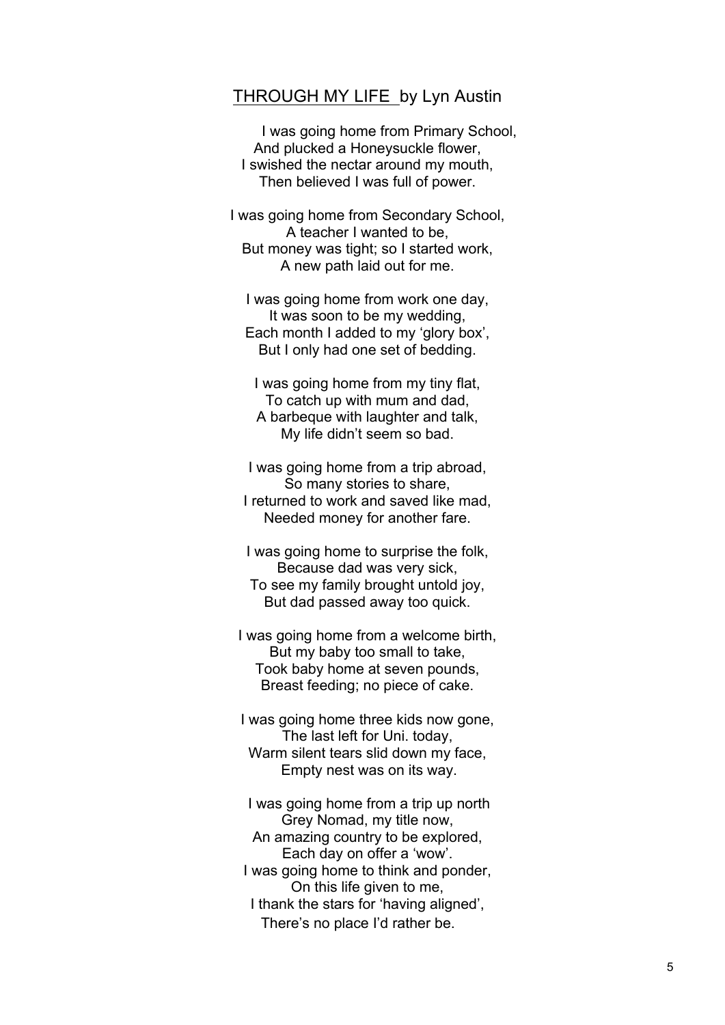#### THROUGH MY LIFE by Lyn Austin

I was going home from Primary School, And plucked a Honeysuckle flower, I swished the nectar around my mouth, Then believed I was full of power.

I was going home from Secondary School, A teacher I wanted to be, But money was tight; so I started work, A new path laid out for me.

I was going home from work one day, It was soon to be my wedding, Each month I added to my 'glory box', But I only had one set of bedding.

I was going home from my tiny flat, To catch up with mum and dad, A barbeque with laughter and talk, My life didn't seem so bad.

I was going home from a trip abroad, So many stories to share, I returned to work and saved like mad, Needed money for another fare.

I was going home to surprise the folk, Because dad was very sick, To see my family brought untold joy, But dad passed away too quick.

I was going home from a welcome birth, But my baby too small to take, Took baby home at seven pounds, Breast feeding; no piece of cake.

I was going home three kids now gone, The last left for Uni. today, Warm silent tears slid down my face. Empty nest was on its way.

I was going home from a trip up north Grey Nomad, my title now, An amazing country to be explored, Each day on offer a 'wow'. I was going home to think and ponder, On this life given to me, I thank the stars for 'having aligned', There's no place I'd rather be.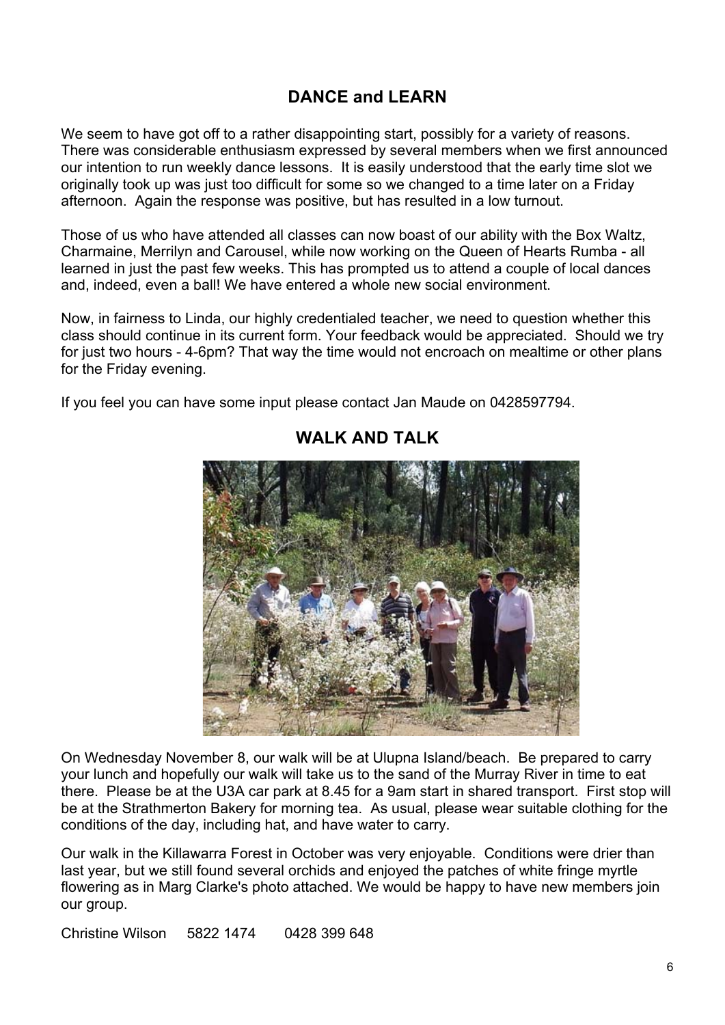# **DANCE and LEARN**

We seem to have got off to a rather disappointing start, possibly for a variety of reasons. There was considerable enthusiasm expressed by several members when we first announced our intention to run weekly dance lessons. It is easily understood that the early time slot we originally took up was just too difficult for some so we changed to a time later on a Friday afternoon. Again the response was positive, but has resulted in a low turnout.

Those of us who have attended all classes can now boast of our ability with the Box Waltz, Charmaine, Merrilyn and Carousel, while now working on the Queen of Hearts Rumba - all learned in just the past few weeks. This has prompted us to attend a couple of local dances and, indeed, even a ball! We have entered a whole new social environment.

Now, in fairness to Linda, our highly credentialed teacher, we need to question whether this class should continue in its current form. Your feedback would be appreciated. Should we try for just two hours - 4-6pm? That way the time would not encroach on mealtime or other plans for the Friday evening.

If you feel you can have some input please contact Jan Maude on 0428597794.



## **WALK AND TALK**

On Wednesday November 8, our walk will be at Ulupna Island/beach. Be prepared to carry your lunch and hopefully our walk will take us to the sand of the Murray River in time to eat there. Please be at the U3A car park at 8.45 for a 9am start in shared transport. First stop will be at the Strathmerton Bakery for morning tea. As usual, please wear suitable clothing for the conditions of the day, including hat, and have water to carry.

Our walk in the Killawarra Forest in October was very enjoyable. Conditions were drier than last year, but we still found several orchids and enjoyed the patches of white fringe myrtle flowering as in Marg Clarke's photo attached. We would be happy to have new members join our group.

Christine Wilson 5822 1474 0428 399 648